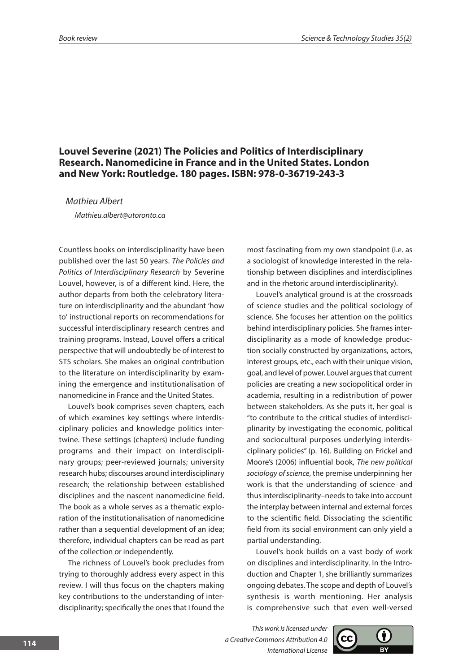## **Louvel Severine (2021) The Policies and Politics of Interdisciplinary Research. Nanomedicine in France and in the United States. London and New York: Routledge. 180 pages. ISBN: 978-0-36719-243-3**

*Mathieu Albert*

*Mathieu.albert@utoronto.ca*

Countless books on interdisciplinarity have been published over the last 50 years. *The Policies and Politics of Interdisciplinary Research* by Severine Louvel, however, is of a different kind. Here, the author departs from both the celebratory literature on interdisciplinarity and the abundant 'how to' instructional reports on recommendations for successful interdisciplinary research centres and training programs. Instead, Louvel offers a critical perspective that will undoubtedly be of interest to STS scholars. She makes an original contribution to the literature on interdisciplinarity by examining the emergence and institutionalisation of nanomedicine in France and the United States.

Louvel's book comprises seven chapters, each of which examines key settings where interdisciplinary policies and knowledge politics intertwine. These settings (chapters) include funding programs and their impact on interdisciplinary groups; peer-reviewed journals; university research hubs; discourses around interdisciplinary research; the relationship between established disciplines and the nascent nanomedicine field. The book as a whole serves as a thematic exploration of the institutionalisation of nanomedicine rather than a sequential development of an idea; therefore, individual chapters can be read as part of the collection or independently.

The richness of Louvel's book precludes from trying to thoroughly address every aspect in this review. I will thus focus on the chapters making key contributions to the understanding of interdisciplinarity; specifically the ones that I found the most fascinating from my own standpoint (i.e. as a sociologist of knowledge interested in the relationship between disciplines and interdisciplines and in the rhetoric around interdisciplinarity).

Louvel's analytical ground is at the crossroads of science studies and the political sociology of science. She focuses her attention on the politics behind interdisciplinary policies. She frames interdisciplinarity as a mode of knowledge production socially constructed by organizations, actors, interest groups, etc., each with their unique vision, goal, and level of power. Louvel argues that current policies are creating a new sociopolitical order in academia, resulting in a redistribution of power between stakeholders. As she puts it, her goal is "to contribute to the critical studies of interdisciplinarity by investigating the economic, political and sociocultural purposes underlying interdisciplinary policies" (p. 16). Building on Frickel and Moore's (2006) influential book, *The new political sociology of science*, the premise underpinning her work is that the understanding of science–and thus interdisciplinarity–needs to take into account the interplay between internal and external forces to the scientific field. Dissociating the scientific field from its social environment can only yield a partial understanding.

Louvel's book builds on a vast body of work on disciplines and interdisciplinarity. In the Introduction and Chapter 1, she brilliantly summarizes ongoing debates. The scope and depth of Louvel's synthesis is worth mentioning. Her analysis is comprehensive such that even well-versed

*This work is licensed under a Creative Commons Attribution 4.0 International License*

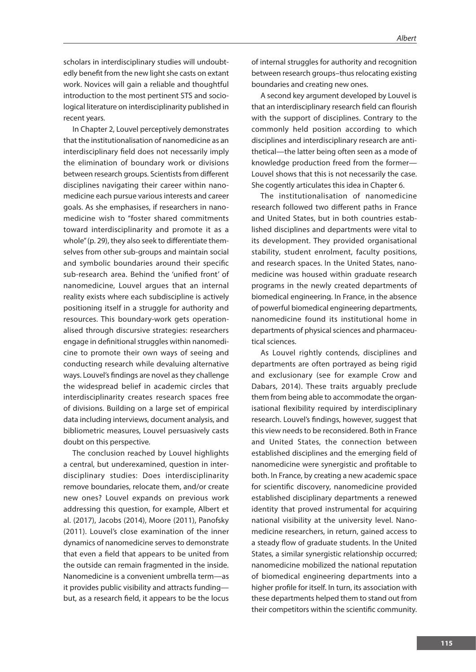scholars in interdisciplinary studies will undoubtedly benefit from the new light she casts on extant work. Novices will gain a reliable and thoughtful introduction to the most pertinent STS and sociological literature on interdisciplinarity published in recent years.

In Chapter 2, Louvel perceptively demonstrates that the institutionalisation of nanomedicine as an interdisciplinary field does not necessarily imply the elimination of boundary work or divisions between research groups. Scientists from different disciplines navigating their career within nanomedicine each pursue various interests and career goals. As she emphasises, if researchers in nanomedicine wish to "foster shared commitments toward interdisciplinarity and promote it as a whole" (p. 29), they also seek to differentiate themselves from other sub-groups and maintain social and symbolic boundaries around their specific sub-research area. Behind the 'unified front' of nanomedicine, Louvel argues that an internal reality exists where each subdiscipline is actively positioning itself in a struggle for authority and resources. This boundary-work gets operationalised through discursive strategies: researchers engage in definitional struggles within nanomedicine to promote their own ways of seeing and conducting research while devaluing alternative ways. Louvel's findings are novel as they challenge the widespread belief in academic circles that interdisciplinarity creates research spaces free of divisions. Building on a large set of empirical data including interviews, document analysis, and bibliometric measures, Louvel persuasively casts doubt on this perspective.

The conclusion reached by Louvel highlights a central, but underexamined, question in interdisciplinary studies: Does interdisciplinarity remove boundaries, relocate them, and/or create new ones? Louvel expands on previous work addressing this question, for example, Albert et al. (2017), Jacobs (2014), Moore (2011), Panofsky (2011). Louvel's close examination of the inner dynamics of nanomedicine serves to demonstrate that even a field that appears to be united from the outside can remain fragmented in the inside. Nanomedicine is a convenient umbrella term—as it provides public visibility and attracts funding but, as a research field, it appears to be the locus of internal struggles for authority and recognition between research groups–thus relocating existing boundaries and creating new ones.

A second key argument developed by Louvel is that an interdisciplinary research field can flourish with the support of disciplines. Contrary to the commonly held position according to which disciplines and interdisciplinary research are antithetical—the latter being often seen as a mode of knowledge production freed from the former— Louvel shows that this is not necessarily the case. She cogently articulates this idea in Chapter 6.

The institutionalisation of nanomedicine research followed two different paths in France and United States, but in both countries established disciplines and departments were vital to its development. They provided organisational stability, student enrolment, faculty positions, and research spaces. In the United States, nanomedicine was housed within graduate research programs in the newly created departments of biomedical engineering. In France, in the absence of powerful biomedical engineering departments, nanomedicine found its institutional home in departments of physical sciences and pharmaceutical sciences.

As Louvel rightly contends, disciplines and departments are often portrayed as being rigid and exclusionary (see for example Crow and Dabars, 2014). These traits arguably preclude them from being able to accommodate the organisational flexibility required by interdisciplinary research. Louvel's findings, however, suggest that this view needs to be reconsidered. Both in France and United States, the connection between established disciplines and the emerging field of nanomedicine were synergistic and profitable to both. In France, by creating a new academic space for scientific discovery, nanomedicine provided established disciplinary departments a renewed identity that proved instrumental for acquiring national visibility at the university level. Nanomedicine researchers, in return, gained access to a steady flow of graduate students. In the United States, a similar synergistic relationship occurred; nanomedicine mobilized the national reputation of biomedical engineering departments into a higher profile for itself. In turn, its association with these departments helped them to stand out from their competitors within the scientific community.